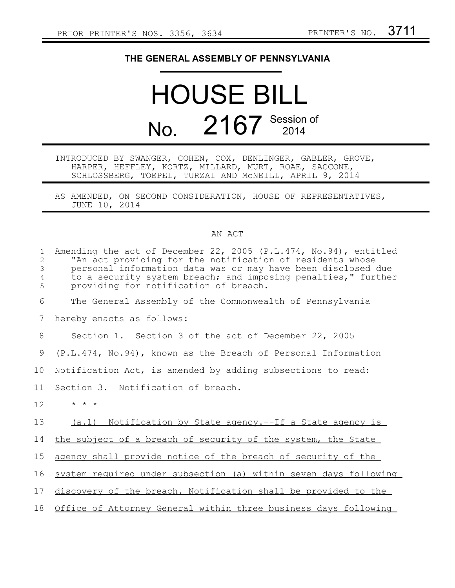## **THE GENERAL ASSEMBLY OF PENNSYLVANIA**

## HOUSE BILL No. 2167 Session of

INTRODUCED BY SWANGER, COHEN, COX, DENLINGER, GABLER, GROVE, HARPER, HEFFLEY, KORTZ, MILLARD, MURT, ROAE, SACCONE, SCHLOSSBERG, TOEPEL, TURZAI AND McNEILL, APRIL 9, 2014

AS AMENDED, ON SECOND CONSIDERATION, HOUSE OF REPRESENTATIVES, JUNE 10, 2014

## AN ACT

| $\mathbf{1}$<br>$\overline{2}$        | Amending the act of December 22, 2005 (P.L.474, No.94), entitled<br>"An act providing for the notification of residents whose                                          |
|---------------------------------------|------------------------------------------------------------------------------------------------------------------------------------------------------------------------|
| $\mathfrak{Z}$<br>$\overline{4}$<br>5 | personal information data was or may have been disclosed due<br>to a security system breach; and imposing penalties," further<br>providing for notification of breach. |
| 6                                     | The General Assembly of the Commonwealth of Pennsylvania                                                                                                               |
| 7                                     | hereby enacts as follows:                                                                                                                                              |
| 8                                     | Section 1. Section 3 of the act of December 22, 2005                                                                                                                   |
| 9                                     | (P.L.474, No.94), known as the Breach of Personal Information                                                                                                          |
| 10                                    | Notification Act, is amended by adding subsections to read:                                                                                                            |
| 11                                    | Section 3. Notification of breach.                                                                                                                                     |
| 12                                    | $\star$ $\star$ $\star$                                                                                                                                                |
| 13                                    | (a.1) Notification by State agency.--If a State agency is                                                                                                              |
| 14                                    | the subject of a breach of security of the system, the State                                                                                                           |
| 15                                    | agency shall provide notice of the breach of security of the                                                                                                           |
| 16                                    | system required under subsection (a) within seven days following                                                                                                       |
| 17                                    | discovery of the breach. Notification shall be provided to the                                                                                                         |
| 18                                    | Office of Attorney General within three business days following                                                                                                        |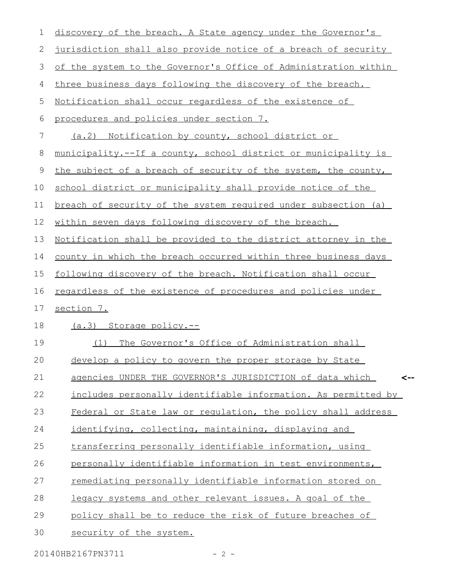| 1  | discovery of the breach. A State agency under the Governor's          |
|----|-----------------------------------------------------------------------|
| 2  | jurisdiction shall also provide notice of a breach of security        |
| 3  | of the system to the Governor's Office of Administration within       |
| 4  | three business days following the discovery of the breach.            |
| 5  | Notification shall occur regardless of the existence of               |
| 6  | procedures and policies under section 7.                              |
| 7  | (a.2) Notification by county, school district or                      |
| 8  | municipality.--If a county, school district or municipality is        |
| 9  | the subject of a breach of security of the system, the county,        |
| 10 | school district or municipality shall provide notice of the           |
| 11 | breach of security of the system required under subsection (a)        |
| 12 | within seven days following discovery of the breach.                  |
| 13 | <u>Notification shall be provided to the district attorney in the</u> |
| 14 | county in which the breach occurred within three business days        |
| 15 | following discovery of the breach. Notification shall occur           |
| 16 | <u>regardless of the existence of procedures and policies under</u>   |
| 17 | section 7.                                                            |
| 18 | (a.3) Storage policy.--                                               |
| 19 | The Governor's Office of Administration shall<br>(1)                  |
| 20 | develop a policy to govern the proper storage by State                |
| 21 | agencies UNDER THE GOVERNOR'S JURISDICTION of data which<br><--       |
| 22 | includes personally identifiable information. As permitted by         |
| 23 | Federal or State law or regulation, the policy shall address          |
| 24 | identifying, collecting, maintaining, displaying and                  |
| 25 | transferring personally identifiable information, using               |
| 26 | personally identifiable information in test environments,             |
| 27 | remediating personally identifiable information stored on             |
| 28 | legacy systems and other relevant issues. A goal of the               |
| 29 | policy shall be to reduce the risk of future breaches of              |
| 30 | security of the system.                                               |
|    |                                                                       |

20140HB2167PN3711 - 2 -